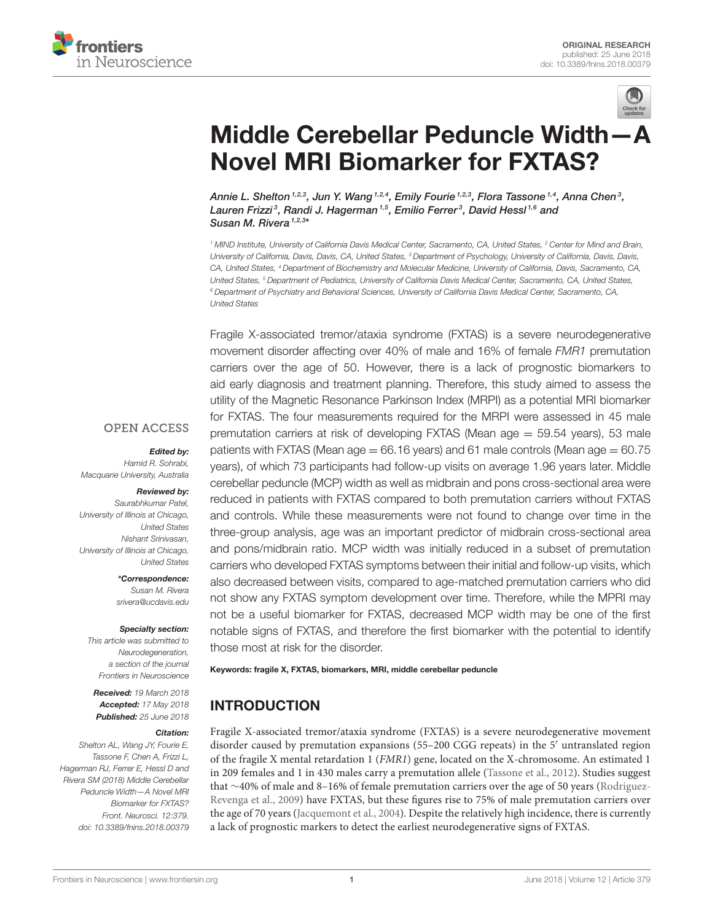



# [Middle Cerebellar Peduncle Width—A](https://www.frontiersin.org/articles/10.3389/fnins.2018.00379/full) Novel MRI Biomarker for FXTAS?

Annie L. Shelton  $^{1,2,3}$ , [Jun Y. Wang](http://loop.frontiersin.org/people/518500/overview)  $^{1,2,4}$ , [Emily Fourie](http://loop.frontiersin.org/people/547034/overview)  $^{1,2,3}$ , [Flora Tassone](http://loop.frontiersin.org/people/164335/overview)  $^{1,4}$ , Anna Chen $^3$ , Lauren Frizzi<sup>3</sup>, [Randi J. Hagerman](http://loop.frontiersin.org/people/415286/overview) 1,5, Emilio Ferrer<sup>3</sup>, [David Hessl](http://loop.frontiersin.org/people/67089/overview) <sup>1,6</sup> and [Susan M. Rivera](http://loop.frontiersin.org/people/7077/overview)<sup>1,2,3\*</sup>

*<sup>1</sup> MIND Institute, University of California Davis Medical Center, Sacramento, CA, United States, <sup>2</sup> Center for Mind and Brain, University of California, Davis, Davis, CA, United States, <sup>3</sup> Department of Psychology, University of California, Davis, Davis, CA, United States, <sup>4</sup> Department of Biochemistry and Molecular Medicine, University of California, Davis, Sacramento, CA, United States, <sup>5</sup> Department of Pediatrics, University of California Davis Medical Center, Sacramento, CA, United States, <sup>6</sup> Department of Psychiatry and Behavioral Sciences, University of California Davis Medical Center, Sacramento, CA, United States*

Fragile X-associated tremor/ataxia syndrome (FXTAS) is a severe neurodegenerative movement disorder affecting over 40% of male and 16% of female *FMR1* premutation carriers over the age of 50. However, there is a lack of prognostic biomarkers to aid early diagnosis and treatment planning. Therefore, this study aimed to assess the utility of the Magnetic Resonance Parkinson Index (MRPI) as a potential MRI biomarker for FXTAS. The four measurements required for the MRPI were assessed in 45 male premutation carriers at risk of developing FXTAS (Mean age = 59.54 years), 53 male patients with FXTAS (Mean age  $= 66.16$  years) and 61 male controls (Mean age  $= 60.75$ years), of which 73 participants had follow-up visits on average 1.96 years later. Middle cerebellar peduncle (MCP) width as well as midbrain and pons cross-sectional area were reduced in patients with FXTAS compared to both premutation carriers without FXTAS and controls. While these measurements were not found to change over time in the three-group analysis, age was an important predictor of midbrain cross-sectional area and pons/midbrain ratio. MCP width was initially reduced in a subset of premutation carriers who developed FXTAS symptoms between their initial and follow-up visits, which also decreased between visits, compared to age-matched premutation carriers who did not show any FXTAS symptom development over time. Therefore, while the MPRI may not be a useful biomarker for FXTAS, decreased MCP width may be one of the first notable signs of FXTAS, and therefore the first biomarker with the potential to identify those most at risk for the disorder.

#### Keywords: fragile X, FXTAS, biomarkers, MRI, middle cerebellar peduncle

# INTRODUCTION

Fragile X-associated tremor/ataxia syndrome (FXTAS) is a severe neurodegenerative movement disorder caused by premutation expansions (55–200 CGG repeats) in the 5′ untranslated region of the fragile X mental retardation 1 (FMR1) gene, located on the X-chromosome. An estimated 1 in 209 females and 1 in 430 males carry a premutation allele [\(Tassone et al., 2012\)](#page-7-0). Studies suggest that ∼40% of male and 8–16% of female premutation carriers over the age of 50 years (Rodriguez-Revenga et al., [2009\)](#page-7-1) have FXTAS, but these figures rise to 75% of male premutation carriers over the age of 70 years [\(Jacquemont et al., 2004\)](#page-7-2). Despite the relatively high incidence, there is currently a lack of prognostic markers to detect the earliest neurodegenerative signs of FXTAS.

### **OPEN ACCESS**

#### Edited by:

*Hamid R. Sohrabi, Macquarie University, Australia*

#### Reviewed by: *Saurabhkumar Patel,*

*University of Illinois at Chicago, United States Nishant Srinivasan, University of Illinois at Chicago, United States*

> \*Correspondence: *Susan M. Rivera [srivera@ucdavis.edu](mailto:srivera@ucdavis.edu)*

#### Specialty section:

*This article was submitted to Neurodegeneration, a section of the journal Frontiers in Neuroscience*

Received: *19 March 2018* Accepted: *17 May 2018* Published: *25 June 2018*

#### Citation:

*Shelton AL, Wang JY, Fourie E, Tassone F, Chen A, Frizzi L, Hagerman RJ, Ferrer E, Hessl D and Rivera SM (2018) Middle Cerebellar Peduncle Width—A Novel MRI Biomarker for FXTAS? Front. Neurosci. 12:379. doi: [10.3389/fnins.2018.00379](https://doi.org/10.3389/fnins.2018.00379)*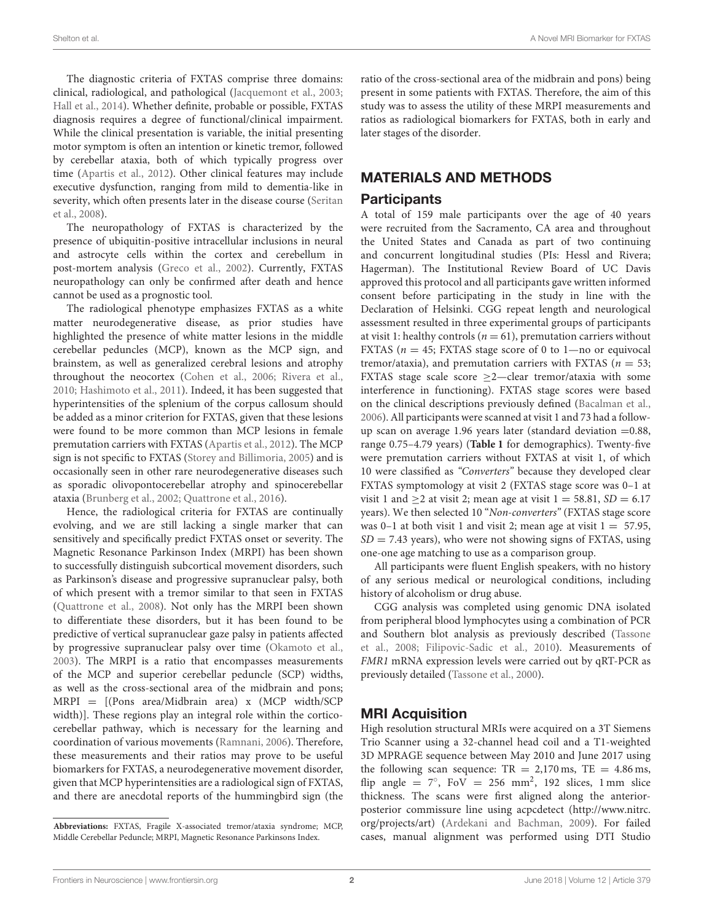The diagnostic criteria of FXTAS comprise three domains: clinical, radiological, and pathological [\(Jacquemont et al., 2003;](#page-7-3) [Hall et al., 2014\)](#page-7-4). Whether definite, probable or possible, FXTAS diagnosis requires a degree of functional/clinical impairment. While the clinical presentation is variable, the initial presenting motor symptom is often an intention or kinetic tremor, followed by cerebellar ataxia, both of which typically progress over time [\(Apartis et al., 2012\)](#page-6-0). Other clinical features may include executive dysfunction, ranging from mild to dementia-like in severity, which often presents later in the disease course (Seritan et al., [2008\)](#page-7-5).

The neuropathology of FXTAS is characterized by the presence of ubiquitin-positive intracellular inclusions in neural and astrocyte cells within the cortex and cerebellum in post-mortem analysis [\(Greco et al., 2002\)](#page-7-6). Currently, FXTAS neuropathology can only be confirmed after death and hence cannot be used as a prognostic tool.

The radiological phenotype emphasizes FXTAS as a white matter neurodegenerative disease, as prior studies have highlighted the presence of white matter lesions in the middle cerebellar peduncles (MCP), known as the MCP sign, and brainstem, as well as generalized cerebral lesions and atrophy throughout the neocortex [\(Cohen et al., 2006;](#page-7-7) [Rivera et al.,](#page-7-8) [2010;](#page-7-8) [Hashimoto et al., 2011\)](#page-7-9). Indeed, it has been suggested that hyperintensities of the splenium of the corpus callosum should be added as a minor criterion for FXTAS, given that these lesions were found to be more common than MCP lesions in female premutation carriers with FXTAS [\(Apartis et al., 2012\)](#page-6-0). The MCP sign is not specific to FXTAS [\(Storey and Billimoria, 2005\)](#page-7-10) and is occasionally seen in other rare neurodegenerative diseases such as sporadic olivopontocerebellar atrophy and spinocerebellar ataxia [\(Brunberg et al., 2002;](#page-6-1) [Quattrone et al., 2016\)](#page-7-11).

Hence, the radiological criteria for FXTAS are continually evolving, and we are still lacking a single marker that can sensitively and specifically predict FXTAS onset or severity. The Magnetic Resonance Parkinson Index (MRPI) has been shown to successfully distinguish subcortical movement disorders, such as Parkinson's disease and progressive supranuclear palsy, both of which present with a tremor similar to that seen in FXTAS [\(Quattrone et al., 2008\)](#page-7-12). Not only has the MRPI been shown to differentiate these disorders, but it has been found to be predictive of vertical supranuclear gaze palsy in patients affected by progressive supranuclear palsy over time [\(Okamoto et al.,](#page-7-13) [2003\)](#page-7-13). The MRPI is a ratio that encompasses measurements of the MCP and superior cerebellar peduncle (SCP) widths, as well as the cross-sectional area of the midbrain and pons; MRPI = [(Pons area/Midbrain area) x (MCP width/SCP width)]. These regions play an integral role within the corticocerebellar pathway, which is necessary for the learning and coordination of various movements [\(Ramnani, 2006\)](#page-7-14). Therefore, these measurements and their ratios may prove to be useful biomarkers for FXTAS, a neurodegenerative movement disorder, given that MCP hyperintensities are a radiological sign of FXTAS, and there are anecdotal reports of the hummingbird sign (the ratio of the cross-sectional area of the midbrain and pons) being present in some patients with FXTAS. Therefore, the aim of this study was to assess the utility of these MRPI measurements and ratios as radiological biomarkers for FXTAS, both in early and later stages of the disorder.

# MATERIALS AND METHODS

# Participants

A total of 159 male participants over the age of 40 years were recruited from the Sacramento, CA area and throughout the United States and Canada as part of two continuing and concurrent longitudinal studies (PIs: Hessl and Rivera; Hagerman). The Institutional Review Board of UC Davis approved this protocol and all participants gave written informed consent before participating in the study in line with the Declaration of Helsinki. CGG repeat length and neurological assessment resulted in three experimental groups of participants at visit 1: healthy controls ( $n = 61$ ), premutation carriers without FXTAS ( $n = 45$ ; FXTAS stage score of 0 to 1—no or equivocal tremor/ataxia), and premutation carriers with FXTAS ( $n = 53$ ; FXTAS stage scale score ≥2—clear tremor/ataxia with some interference in functioning). FXTAS stage scores were based on the clinical descriptions previously defined [\(Bacalman et al.,](#page-6-2) [2006\)](#page-6-2). All participants were scanned at visit 1 and 73 had a followup scan on average 1.96 years later (standard deviation =0.88, range 0.75–4.79 years) (**[Table 1](#page-2-0)** for demographics). Twenty-five were premutation carriers without FXTAS at visit 1, of which 10 were classified as "Converters" because they developed clear FXTAS symptomology at visit 2 (FXTAS stage score was 0–1 at visit 1 and  $\geq$  2 at visit 2; mean age at visit 1 = 58.81, SD = 6.17 years). We then selected 10 "Non-converters" (FXTAS stage score was 0-1 at both visit 1 and visit 2; mean age at visit  $1 = 57.95$ ,  $SD = 7.43$  years), who were not showing signs of FXTAS, using one-one age matching to use as a comparison group.

All participants were fluent English speakers, with no history of any serious medical or neurological conditions, including history of alcoholism or drug abuse.

CGG analysis was completed using genomic DNA isolated from peripheral blood lymphocytes using a combination of PCR and Southern blot analysis as previously described (Tassone et al., [2008;](#page-7-15) [Filipovic-Sadic et al., 2010\)](#page-7-16). Measurements of FMR1 mRNA expression levels were carried out by qRT-PCR as previously detailed [\(Tassone et al., 2000\)](#page-7-17).

# MRI Acquisition

High resolution structural MRIs were acquired on a 3T Siemens Trio Scanner using a 32-channel head coil and a T1-weighted 3D MPRAGE sequence between May 2010 and June 2017 using the following scan sequence:  $TR = 2,170$  ms,  $TE = 4.86$  ms, flip angle =  $7^\circ$ , FoV = 256 mm<sup>2</sup>, 192 slices, 1 mm slice thickness. The scans were first aligned along the anteriorposterior commissure line using acpcdetect [\(http://www.nitrc.](http://www.nitrc.org/projects/art) [org/projects/art\)](http://www.nitrc.org/projects/art) [\(Ardekani and Bachman, 2009\)](#page-6-3). For failed cases, manual alignment was performed using DTI Studio

**Abbreviations:** FXTAS, Fragile X-associated tremor/ataxia syndrome; MCP, Middle Cerebellar Peduncle; MRPI, Magnetic Resonance Parkinsons Index.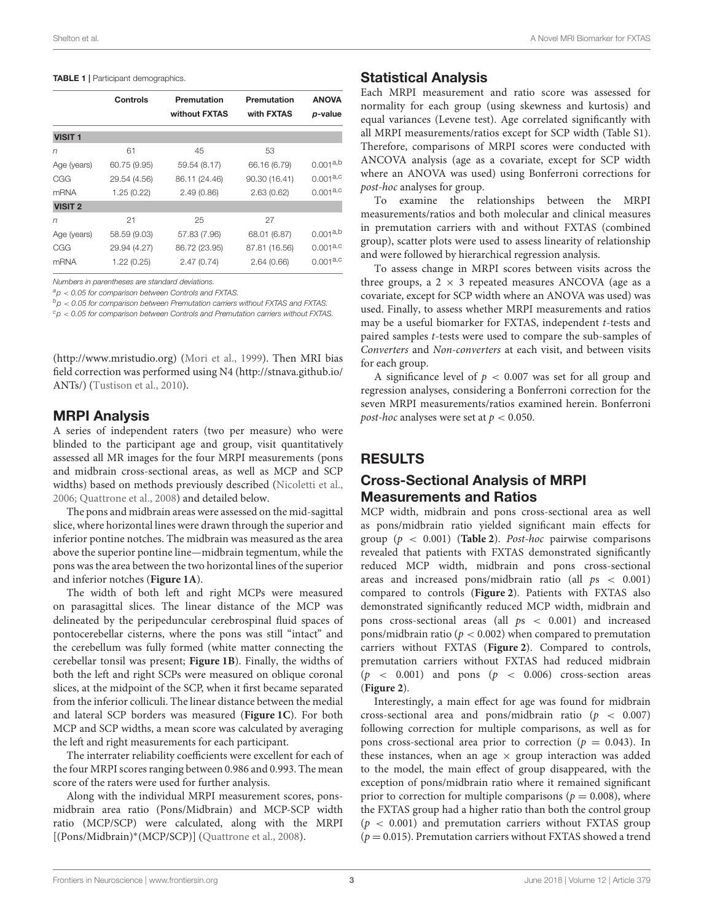#### <span id="page-2-0"></span>TABLE 1 | Participant demographics.

| Controls     | Premutation<br>without FXTAS | Premutation<br>with FXTAS | <b>ANOVA</b><br>p-value |
|--------------|------------------------------|---------------------------|-------------------------|
|              |                              |                           |                         |
| 61           | 45                           | 53                        |                         |
| 60.75 (9.95) | 59.54 (8.17)                 | 66.16 (6.79)              | $0.001^{a,b}$           |
| 29.54 (4.56) | 86.11 (24.46)                | 90.30 (16.41)             | 0.001a, c               |
| 1.25(0.22)   | 2.49(0.86)                   | 2.63(0.62)                | $0.001^{a,c}$           |
|              |                              |                           |                         |
| 21           | 25                           | 27                        |                         |
| 58.59 (9.03) | 57.83 (7.96)                 | 68.01 (6.87)              | $0.001^{a,b}$           |
| 29.94 (4.27) | 86.72 (23.95)                | 87.81 (16.56)             | $0.001^{a,c}$           |
| 1.22(0.25)   | 2.47(0.74)                   | 2.64(0.66)                | $0.001^{a,c}$           |
|              |                              |                           |                         |

*Numbers in parentheses are standard deviations.*

*<sup>a</sup>p* < *0.05 for comparison between Controls and FXTAS.*

*<sup>b</sup>p* < *0.05 for comparison between Premutation carriers without FXTAS and FXTAS.*

*<sup>c</sup>p* < *0.05 for comparison between Controls and Premutation carriers without FXTAS.*

[\(http://www.mristudio.org\)](http://www.mristudio.org) [\(Mori et al., 1999\)](#page-7-18). Then MRI bias field correction was performed using N4 [\(http://stnava.github.io/](http://stnava.github.io/ANTs/) [ANTs/\)](http://stnava.github.io/ANTs/) [\(Tustison et al., 2010\)](#page-7-19).

### MRPI Analysis

A series of independent raters (two per measure) who were blinded to the participant age and group, visit quantitatively assessed all MR images for the four MRPI measurements (pons and midbrain cross-sectional areas, as well as MCP and SCP widths) based on methods previously described [\(Nicoletti et al.,](#page-7-20) [2006;](#page-7-20) [Quattrone et al., 2008\)](#page-7-12) and detailed below.

The pons and midbrain areas were assessed on the mid-sagittal slice, where horizontal lines were drawn through the superior and inferior pontine notches. The midbrain was measured as the area above the superior pontine line—midbrain tegmentum, while the pons was the area between the two horizontal lines of the superior and inferior notches (**[Figure 1A](#page-3-0)**).

The width of both left and right MCPs were measured on parasagittal slices. The linear distance of the MCP was delineated by the peripeduncular cerebrospinal fluid spaces of pontocerebellar cisterns, where the pons was still "intact" and the cerebellum was fully formed (white matter connecting the cerebellar tonsil was present; **[Figure 1B](#page-3-0)**). Finally, the widths of both the left and right SCPs were measured on oblique coronal slices, at the midpoint of the SCP, when it first became separated from the inferior colliculi. The linear distance between the medial and lateral SCP borders was measured (**[Figure 1C](#page-3-0)**). For both MCP and SCP widths, a mean score was calculated by averaging the left and right measurements for each participant.

The interrater reliability coefficients were excellent for each of the four MRPI scores ranging between 0.986 and 0.993. The mean score of the raters were used for further analysis.

Along with the individual MRPI measurement scores, ponsmidbrain area ratio (Pons/Midbrain) and MCP-SCP width ratio (MCP/SCP) were calculated, along with the MRPI [(Pons/Midbrain)<sup>∗</sup> (MCP/SCP)] [\(Quattrone et al., 2008\)](#page-7-12).

### Statistical Analysis

Each MRPI measurement and ratio score was assessed for normality for each group (using skewness and kurtosis) and equal variances (Levene test). Age correlated significantly with all MRPI measurements/ratios except for SCP width (Table S1). Therefore, comparisons of MRPI scores were conducted with ANCOVA analysis (age as a covariate, except for SCP width where an ANOVA was used) using Bonferroni corrections for post-hoc analyses for group.

To examine the relationships between the MRPI measurements/ratios and both molecular and clinical measures in premutation carriers with and without FXTAS (combined group), scatter plots were used to assess linearity of relationship and were followed by hierarchical regression analysis.

To assess change in MRPI scores between visits across the three groups, a  $2 \times 3$  repeated measures ANCOVA (age as a covariate, except for SCP width where an ANOVA was used) was used. Finally, to assess whether MRPI measurements and ratios may be a useful biomarker for FXTAS, independent t-tests and paired samples t-tests were used to compare the sub-samples of Converters and Non-converters at each visit, and between visits for each group.

A significance level of  $p < 0.007$  was set for all group and regression analyses, considering a Bonferroni correction for the seven MRPI measurements/ratios examined herein. Bonferroni *post-hoc* analyses were set at  $p < 0.050$ .

# RESULTS

# Cross-Sectional Analysis of MRPI Measurements and Ratios

MCP width, midbrain and pons cross-sectional area as well as pons/midbrain ratio yielded significant main effects for group  $(p < 0.001)$  ([Table 2](#page-3-1)). Post-hoc pairwise comparisons revealed that patients with FXTAS demonstrated significantly reduced MCP width, midbrain and pons cross-sectional areas and increased pons/midbrain ratio (all  $ps < 0.001$ ) compared to controls (**[Figure 2](#page-4-0)**). Patients with FXTAS also demonstrated significantly reduced MCP width, midbrain and pons cross-sectional areas (all  $ps < 0.001$ ) and increased pons/midbrain ratio ( $p < 0.002$ ) when compared to premutation carriers without FXTAS (**[Figure 2](#page-4-0)**). Compared to controls, premutation carriers without FXTAS had reduced midbrain  $(p \lt 0.001)$  and pons  $(p \lt 0.006)$  cross-section areas (**[Figure 2](#page-4-0)**).

Interestingly, a main effect for age was found for midbrain cross-sectional area and pons/midbrain ratio ( $p < 0.007$ ) following correction for multiple comparisons, as well as for pons cross-sectional area prior to correction ( $p = 0.043$ ). In these instances, when an age  $\times$  group interaction was added to the model, the main effect of group disappeared, with the exception of pons/midbrain ratio where it remained significant prior to correction for multiple comparisons ( $p = 0.008$ ), where the FXTAS group had a higher ratio than both the control group  $(p < 0.001)$  and premutation carriers without FXTAS group  $(p = 0.015)$ . Premutation carriers without FXTAS showed a trend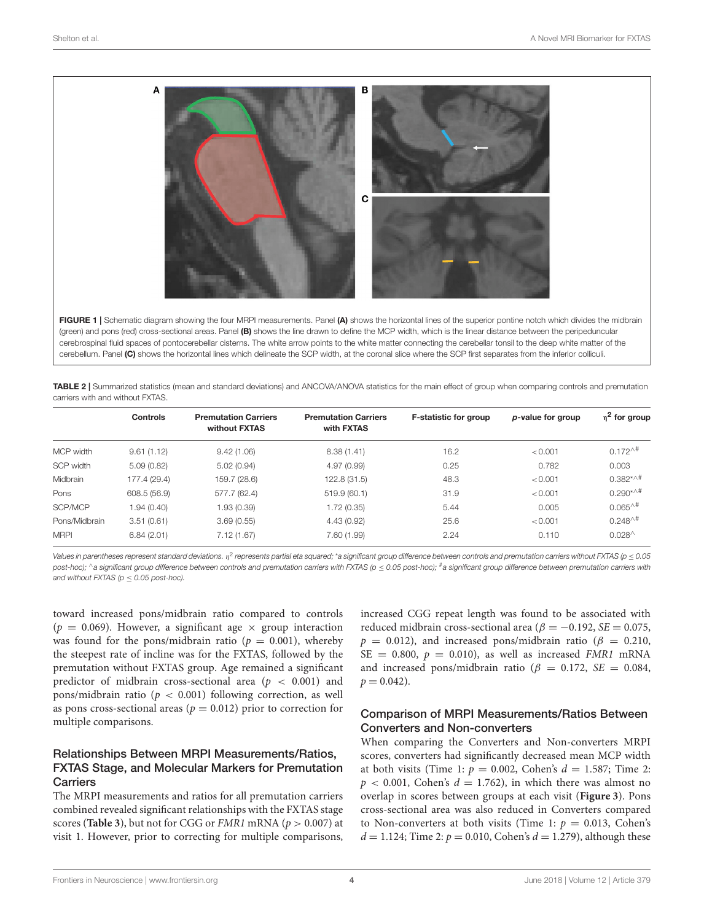

<span id="page-3-0"></span>(green) and pons (red) cross-sectional areas. Panel (B) shows the line drawn to define the MCP width, which is the linear distance between the peripeduncular cerebrospinal fluid spaces of pontocerebellar cisterns. The white arrow points to the white matter connecting the cerebellar tonsil to the deep white matter of the cerebellum. Panel (C) shows the horizontal lines which delineate the SCP width, at the coronal slice where the SCP first separates from the inferior colliculi.

<span id="page-3-1"></span>TABLE 2 | Summarized statistics (mean and standard deviations) and ANCOVA/ANOVA statistics for the main effect of group when comparing controls and premutation carriers with and without FXTAS.

|               | Controls     | <b>Premutation Carriers</b><br>without FXTAS | <b>Premutation Carriers</b><br>with FXTAS | <b>F-statistic for group</b> | p-value for group | $n^2$ for group     |
|---------------|--------------|----------------------------------------------|-------------------------------------------|------------------------------|-------------------|---------------------|
| MCP width     | 9.61(1.12)   | 9.42(1.06)                                   | 8.38(1.41)                                | 16.2                         | < 0.001           | $0.172^{+4}$        |
| SCP width     | 5.09(0.82)   | 5.02(0.94)                                   | 4.97(0.99)                                | 0.25                         | 0.782             | 0.003               |
| Midbrain      | 177.4 (29.4) | 159.7 (28.6)                                 | 122.8 (31.5)                              | 48.3                         | < 0.001           | $0.382***$          |
| Pons          | 608.5 (56.9) | 577.7 (62.4)                                 | 519.9 (60.1)                              | 31.9                         | < 0.001           | $0.290^{*\wedge\#}$ |
| SCP/MCP       | 1.94 (0.40)  | 1.93 (0.39)                                  | 1.72 (0.35)                               | 5.44                         | 0.005             | $0.065^{\wedge\#}$  |
| Pons/Midbrain | 3.51(0.61)   | 3.69(0.55)                                   | 4.43(0.92)                                | 25.6                         | < 0.001           | $0.248^{\wedge\#}$  |
| <b>MRPI</b>   | 6.84(2.01)   | 7.12(1.67)                                   | 7.60 (1.99)                               | 2.24                         | 0.110             | $0.028^{\wedge}$    |

Values in parentheses represent standard deviations. η<sup>2</sup> represents partial eta squared; \*a significant group difference between controls and premutation carriers without FXTAS (p ≤ 0.05 *post-hoc);* ^a significant group difference between controls and premutation carriers with FXTAS (p ≤ 0.05 post-hoc); <sup>#</sup>a significant group difference between premutation carriers with *and without FXTAS (* $p \le 0.05$  *post-hoc).* 

toward increased pons/midbrain ratio compared to controls ( $p = 0.069$ ). However, a significant age  $\times$  group interaction was found for the pons/midbrain ratio ( $p = 0.001$ ), whereby the steepest rate of incline was for the FXTAS, followed by the premutation without FXTAS group. Age remained a significant predictor of midbrain cross-sectional area ( $p < 0.001$ ) and pons/midbrain ratio ( $p < 0.001$ ) following correction, as well as pons cross-sectional areas ( $p = 0.012$ ) prior to correction for multiple comparisons.

# Relationships Between MRPI Measurements/Ratios, FXTAS Stage, and Molecular Markers for Premutation **Carriers**

The MRPI measurements and ratios for all premutation carriers combined revealed significant relationships with the FXTAS stage scores (**[Table 3](#page-4-1)**), but not for CGG or *FMR1* mRNA ( $p > 0.007$ ) at visit 1. However, prior to correcting for multiple comparisons,

increased CGG repeat length was found to be associated with reduced midbrain cross-sectional area ( $\beta = -0.192$ ,  $SE = 0.075$ ,  $p = 0.012$ ), and increased pons/midbrain ratio ( $\beta = 0.210$ ,  $SE = 0.800$ ,  $p = 0.010$ ), as well as increased *FMR1* mRNA and increased pons/midbrain ratio ( $\beta = 0.172$ ,  $SE = 0.084$ ,  $p = 0.042$ .

### Comparison of MRPI Measurements/Ratios Between Converters and Non-converters

When comparing the Converters and Non-converters MRPI scores, converters had significantly decreased mean MCP width at both visits (Time 1:  $p = 0.002$ , Cohen's  $d = 1.587$ ; Time 2:  $p < 0.001$ , Cohen's  $d = 1.762$ ), in which there was almost no overlap in scores between groups at each visit (**[Figure 3](#page-4-2)**). Pons cross-sectional area was also reduced in Converters compared to Non-converters at both visits (Time 1:  $p = 0.013$ , Cohen's  $d = 1.124$ ; Time 2:  $p = 0.010$ , Cohen's  $d = 1.279$ ), although these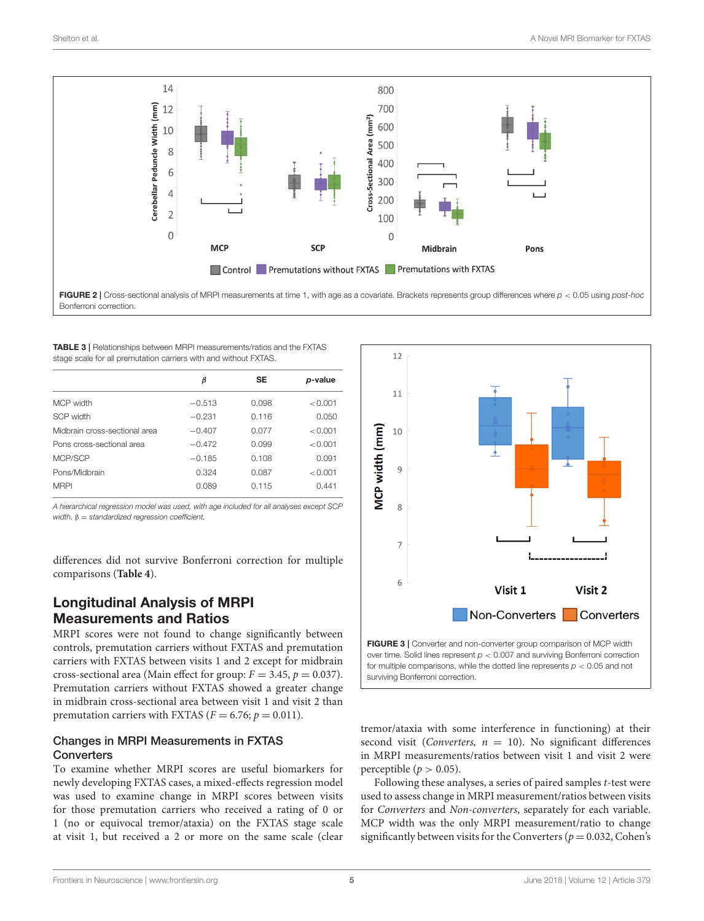

<span id="page-4-0"></span>Bonferroni correction.

<span id="page-4-1"></span>TABLE 3 | Relationships between MRPI measurements/ratios and the FXTAS stage scale for all premutation carriers with and without FXTAS.

|                               | β        | <b>SE</b> | p-value |  |
|-------------------------------|----------|-----------|---------|--|
| <b>MCP</b> width              | $-0.513$ | 0.098     | < 0.001 |  |
| SCP width                     | $-0.231$ | 0.116     | 0.050   |  |
| Midbrain cross-sectional area | $-0.407$ | 0.077     | < 0.001 |  |
| Pons cross-sectional area     | $-0.472$ | 0.099     | < 0.001 |  |
| MCP/SCP                       | $-0.185$ | 0.108     | 0.091   |  |
| Pons/Midbrain                 | 0.324    | 0.087     | < 0.001 |  |
| <b>MRPI</b>                   | 0.089    | 0.115     | 0.441   |  |

*A hierarchical regression model was used, with age included for all analyses except SCP width.* β = *standardized regression coefficient.*

differences did not survive Bonferroni correction for multiple comparisons (**[Table 4](#page-5-0)**).

# Longitudinal Analysis of MRPI Measurements and Ratios

MRPI scores were not found to change significantly between controls, premutation carriers without FXTAS and premutation carriers with FXTAS between visits 1 and 2 except for midbrain cross-sectional area (Main effect for group:  $F = 3.45$ ,  $p = 0.037$ ). Premutation carriers without FXTAS showed a greater change in midbrain cross-sectional area between visit 1 and visit 2 than premutation carriers with FXTAS ( $F = 6.76$ ;  $p = 0.011$ ).

### Changes in MRPI Measurements in FXTAS **Converters**

To examine whether MRPI scores are useful biomarkers for newly developing FXTAS cases, a mixed-effects regression model was used to examine change in MRPI scores between visits for those premutation carriers who received a rating of 0 or 1 (no or equivocal tremor/ataxia) on the FXTAS stage scale at visit 1, but received a 2 or more on the same scale (clear



<span id="page-4-2"></span>surviving Bonferroni correction.

tremor/ataxia with some interference in functioning) at their second visit (Converters,  $n = 10$ ). No significant differences in MRPI measurements/ratios between visit 1 and visit 2 were perceptible ( $p > 0.05$ ).

Following these analyses, a series of paired samples t-test were used to assess change in MRPI measurement/ratios between visits for Converters and Non-converters, separately for each variable. MCP width was the only MRPI measurement/ratio to change significantly between visits for the Converters ( $p = 0.032$ , Cohen's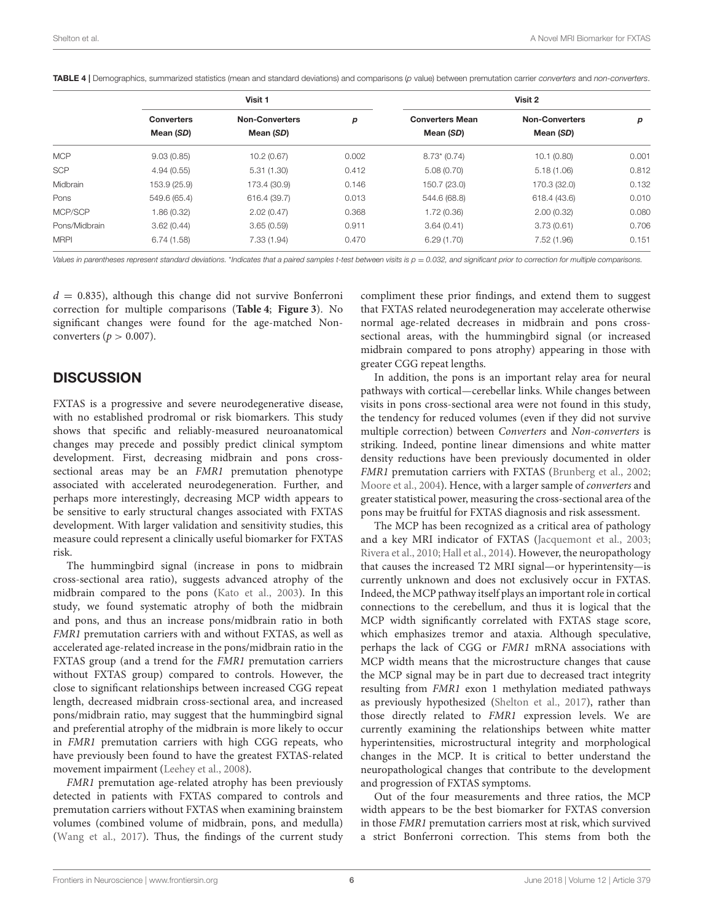|               | Visit 1                        |                                    |       | Visit 2                             |                                    |       |
|---------------|--------------------------------|------------------------------------|-------|-------------------------------------|------------------------------------|-------|
|               | <b>Converters</b><br>Mean (SD) | <b>Non-Converters</b><br>Mean (SD) | p     | <b>Converters Mean</b><br>Mean (SD) | <b>Non-Converters</b><br>Mean (SD) | р     |
| <b>MCP</b>    | 9.03(0.85)                     | 10.2(0.67)                         | 0.002 | $8.73*(0.74)$                       | 10.1(0.80)                         | 0.001 |
| <b>SCP</b>    | 4.94(0.55)                     | 5.31(1.30)                         | 0.412 | 5.08(0.70)                          | 5.18(1.06)                         | 0.812 |
| Midbrain      | 153.9 (25.9)                   | 173.4 (30.9)                       | 0.146 | 150.7 (23.0)                        | 170.3 (32.0)                       | 0.132 |
| Pons          | 549.6 (65.4)                   | 616.4 (39.7)                       | 0.013 | 544.6 (68.8)                        | 618.4 (43.6)                       | 0.01C |
| MCP/SCP       | 1.86(0.32)                     | 2.02(0.47)                         | 0.368 | 1.72(0.36)                          | 2.00(0.32)                         | 0.080 |
| Pons/Midbrain | 3.62(0.44)                     | 3.65(0.59)                         | 0.911 | 3.64(0.41)                          | 3.73(0.61)                         | 0.706 |
| <b>MRPI</b>   | 6.74(1.58)                     | 7.33(1.94)                         | 0.470 | 6.29(1.70)                          | 7.52(1.96)                         | 0.151 |

<span id="page-5-0"></span>TABLE 4 | Demographics, summarized statistics (mean and standard deviations) and comparisons (*p* value) between premutation carrier *converters* and *non-converters*.

Values in parentheses represent standard deviations. \*Indicates that a paired samples t-test between visits is  $p = 0.032$ , and significant prior to correction for multiple comparisons.

 $d = 0.835$ ), although this change did not survive Bonferroni correction for multiple comparisons (**[Table 4](#page-5-0)**; **[Figure 3](#page-4-2)**). No significant changes were found for the age-matched Nonconverters ( $p > 0.007$ ).

# **DISCUSSION**

FXTAS is a progressive and severe neurodegenerative disease, with no established prodromal or risk biomarkers. This study shows that specific and reliably-measured neuroanatomical changes may precede and possibly predict clinical symptom development. First, decreasing midbrain and pons crosssectional areas may be an FMR1 premutation phenotype associated with accelerated neurodegeneration. Further, and perhaps more interestingly, decreasing MCP width appears to be sensitive to early structural changes associated with FXTAS development. With larger validation and sensitivity studies, this measure could represent a clinically useful biomarker for FXTAS risk.

The hummingbird signal (increase in pons to midbrain cross-sectional area ratio), suggests advanced atrophy of the midbrain compared to the pons [\(Kato et al., 2003\)](#page-7-21). In this study, we found systematic atrophy of both the midbrain and pons, and thus an increase pons/midbrain ratio in both FMR1 premutation carriers with and without FXTAS, as well as accelerated age-related increase in the pons/midbrain ratio in the FXTAS group (and a trend for the FMR1 premutation carriers without FXTAS group) compared to controls. However, the close to significant relationships between increased CGG repeat length, decreased midbrain cross-sectional area, and increased pons/midbrain ratio, may suggest that the hummingbird signal and preferential atrophy of the midbrain is more likely to occur in FMR1 premutation carriers with high CGG repeats, who have previously been found to have the greatest FXTAS-related movement impairment [\(Leehey et al., 2008\)](#page-7-22).

FMR1 premutation age-related atrophy has been previously detected in patients with FXTAS compared to controls and premutation carriers without FXTAS when examining brainstem volumes (combined volume of midbrain, pons, and medulla) [\(Wang et al., 2017\)](#page-7-23). Thus, the findings of the current study compliment these prior findings, and extend them to suggest that FXTAS related neurodegeneration may accelerate otherwise normal age-related decreases in midbrain and pons crosssectional areas, with the hummingbird signal (or increased midbrain compared to pons atrophy) appearing in those with greater CGG repeat lengths.

In addition, the pons is an important relay area for neural pathways with cortical—cerebellar links. While changes between visits in pons cross-sectional area were not found in this study, the tendency for reduced volumes (even if they did not survive multiple correction) between Converters and Non-converters is striking. Indeed, pontine linear dimensions and white matter density reductions have been previously documented in older FMR1 premutation carriers with FXTAS [\(Brunberg et al., 2002;](#page-6-1) [Moore et al., 2004\)](#page-7-24). Hence, with a larger sample of converters and greater statistical power, measuring the cross-sectional area of the pons may be fruitful for FXTAS diagnosis and risk assessment.

The MCP has been recognized as a critical area of pathology and a key MRI indicator of FXTAS [\(Jacquemont et al., 2003;](#page-7-3) [Rivera et al., 2010;](#page-7-8) [Hall et al., 2014\)](#page-7-4). However, the neuropathology that causes the increased T2 MRI signal—or hyperintensity—is currently unknown and does not exclusively occur in FXTAS. Indeed, the MCP pathway itself plays an important role in cortical connections to the cerebellum, and thus it is logical that the MCP width significantly correlated with FXTAS stage score, which emphasizes tremor and ataxia. Although speculative, perhaps the lack of CGG or FMR1 mRNA associations with MCP width means that the microstructure changes that cause the MCP signal may be in part due to decreased tract integrity resulting from FMR1 exon 1 methylation mediated pathways as previously hypothesized [\(Shelton et al., 2017\)](#page-7-25), rather than those directly related to FMR1 expression levels. We are currently examining the relationships between white matter hyperintensities, microstructural integrity and morphological changes in the MCP. It is critical to better understand the neuropathological changes that contribute to the development and progression of FXTAS symptoms.

Out of the four measurements and three ratios, the MCP width appears to be the best biomarker for FXTAS conversion in those FMR1 premutation carriers most at risk, which survived a strict Bonferroni correction. This stems from both the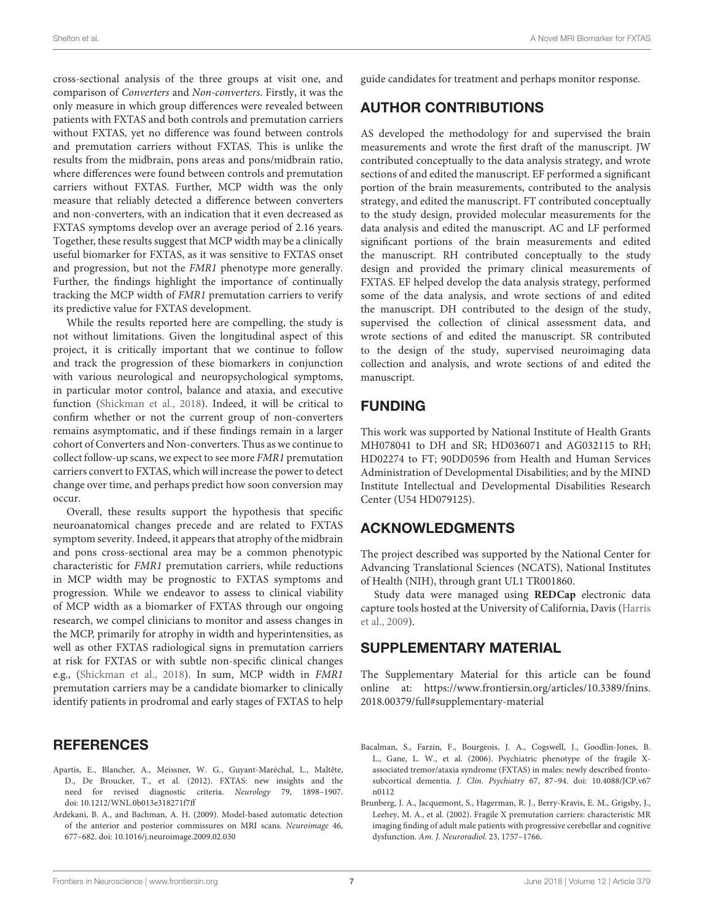cross-sectional analysis of the three groups at visit one, and comparison of Converters and Non-converters. Firstly, it was the only measure in which group differences were revealed between patients with FXTAS and both controls and premutation carriers without FXTAS, yet no difference was found between controls and premutation carriers without FXTAS. This is unlike the results from the midbrain, pons areas and pons/midbrain ratio, where differences were found between controls and premutation carriers without FXTAS. Further, MCP width was the only measure that reliably detected a difference between converters and non-converters, with an indication that it even decreased as FXTAS symptoms develop over an average period of 2.16 years. Together, these results suggest that MCP width may be a clinically useful biomarker for FXTAS, as it was sensitive to FXTAS onset and progression, but not the FMR1 phenotype more generally. Further, the findings highlight the importance of continually tracking the MCP width of FMR1 premutation carriers to verify its predictive value for FXTAS development.

While the results reported here are compelling, the study is not without limitations. Given the longitudinal aspect of this project, it is critically important that we continue to follow and track the progression of these biomarkers in conjunction with various neurological and neuropsychological symptoms, in particular motor control, balance and ataxia, and executive function [\(Shickman et al., 2018\)](#page-7-26). Indeed, it will be critical to confirm whether or not the current group of non-converters remains asymptomatic, and if these findings remain in a larger cohort of Converters and Non-converters. Thus as we continue to collect follow-up scans, we expect to see more FMR1 premutation carriers convert to FXTAS, which will increase the power to detect change over time, and perhaps predict how soon conversion may occur.

Overall, these results support the hypothesis that specific neuroanatomical changes precede and are related to FXTAS symptom severity. Indeed, it appears that atrophy of the midbrain and pons cross-sectional area may be a common phenotypic characteristic for FMR1 premutation carriers, while reductions in MCP width may be prognostic to FXTAS symptoms and progression. While we endeavor to assess to clinical viability of MCP width as a biomarker of FXTAS through our ongoing research, we compel clinicians to monitor and assess changes in the MCP, primarily for atrophy in width and hyperintensities, as well as other FXTAS radiological signs in premutation carriers at risk for FXTAS or with subtle non-specific clinical changes e.g., [\(Shickman et al., 2018\)](#page-7-26). In sum, MCP width in FMR1 premutation carriers may be a candidate biomarker to clinically identify patients in prodromal and early stages of FXTAS to help

### **REFERENCES**

- <span id="page-6-0"></span>Apartis, E., Blancher, A., Meissner, W. G., Guyant-Maréchal, L., Maltête, D., De Broucker, T., et al. (2012). FXTAS: new insights and the need for revised diagnostic criteria. Neurology 79, 1898–1907. doi: [10.1212/WNL.0b013e318271f7ff](https://doi.org/10.1212/WNL.0b013e318271f7ff)
- <span id="page-6-3"></span>Ardekani, B. A., and Bachman, A. H. (2009). Model-based automatic detection of the anterior and posterior commissures on MRI scans. Neuroimage 46, 677–682. doi: [10.1016/j.neuroimage.2009.02.030](https://doi.org/10.1016/j.neuroimage.2009.02.030)

guide candidates for treatment and perhaps monitor response.

# AUTHOR CONTRIBUTIONS

AS developed the methodology for and supervised the brain measurements and wrote the first draft of the manuscript. JW contributed conceptually to the data analysis strategy, and wrote sections of and edited the manuscript. EF performed a significant portion of the brain measurements, contributed to the analysis strategy, and edited the manuscript. FT contributed conceptually to the study design, provided molecular measurements for the data analysis and edited the manuscript. AC and LF performed significant portions of the brain measurements and edited the manuscript. RH contributed conceptually to the study design and provided the primary clinical measurements of FXTAS. EF helped develop the data analysis strategy, performed some of the data analysis, and wrote sections of and edited the manuscript. DH contributed to the design of the study, supervised the collection of clinical assessment data, and wrote sections of and edited the manuscript. SR contributed to the design of the study, supervised neuroimaging data collection and analysis, and wrote sections of and edited the manuscript.

# FUNDING

This work was supported by National Institute of Health Grants MH078041 to DH and SR; HD036071 and AG032115 to RH; HD02274 to FT; 90DD0596 from Health and Human Services Administration of Developmental Disabilities; and by the MIND Institute Intellectual and Developmental Disabilities Research Center (U54 HD079125).

# ACKNOWLEDGMENTS

The project described was supported by the National Center for Advancing Translational Sciences (NCATS), National Institutes of Health (NIH), through grant UL1 TR001860.

Study data were managed using **REDCap** electronic data capture tools hosted at the University of California, Davis (Harris et al., [2009\)](#page-7-27).

# SUPPLEMENTARY MATERIAL

The Supplementary Material for this article can be found [online at: https://www.frontiersin.org/articles/10.3389/fnins.](https://www.frontiersin.org/articles/10.3389/fnins.2018.00379/full#supplementary-material) 2018.00379/full#supplementary-material

- <span id="page-6-2"></span>Bacalman, S., Farzin, F., Bourgeois, J. A., Cogswell, J., Goodlin-Jones, B. L., Gane, L. W., et al. (2006). Psychiatric phenotype of the fragile Xassociated tremor/ataxia syndrome (FXTAS) in males: newly described frontosubcortical dementia. J. Clin. Psychiatry [67, 87–94. doi: 10.4088/JCP.v67](https://doi.org/10.4088/JCP.v67n0112) n0112
- <span id="page-6-1"></span>Brunberg, J. A., Jacquemont, S., Hagerman, R. J., Berry-Kravis, E. M., Grigsby, J., Leehey, M. A., et al. (2002). Fragile X premutation carriers: characteristic MR imaging finding of adult male patients with progressive cerebellar and cognitive dysfunction. Am. J. Neuroradiol. 23, 1757–1766.